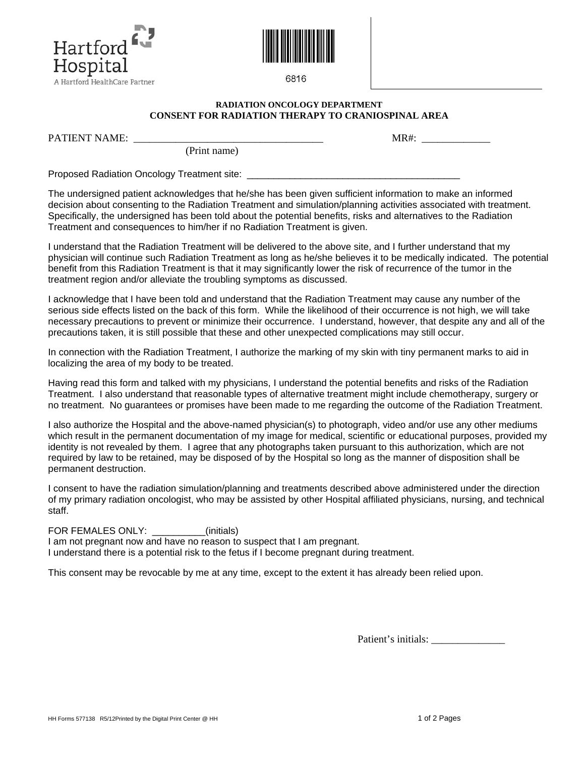



6816

## **RADIATION ONCOLOGY DEPARTMENT CONSENT FOR RADIATION THERAPY TO CRANIOSPINAL AREA**

(Print name)

PATIENT NAME:  $MR#$ :

Proposed Radiation Oncology Treatment site:

The undersigned patient acknowledges that he/she has been given sufficient information to make an informed decision about consenting to the Radiation Treatment and simulation/planning activities associated with treatment. Specifically, the undersigned has been told about the potential benefits, risks and alternatives to the Radiation Treatment and consequences to him/her if no Radiation Treatment is given.

I understand that the Radiation Treatment will be delivered to the above site, and I further understand that my physician will continue such Radiation Treatment as long as he/she believes it to be medically indicated. The potential benefit from this Radiation Treatment is that it may significantly lower the risk of recurrence of the tumor in the treatment region and/or alleviate the troubling symptoms as discussed.

I acknowledge that I have been told and understand that the Radiation Treatment may cause any number of the serious side effects listed on the back of this form. While the likelihood of their occurrence is not high, we will take necessary precautions to prevent or minimize their occurrence. I understand, however, that despite any and all of the precautions taken, it is still possible that these and other unexpected complications may still occur.

In connection with the Radiation Treatment, I authorize the marking of my skin with tiny permanent marks to aid in localizing the area of my body to be treated.

Having read this form and talked with my physicians, I understand the potential benefits and risks of the Radiation Treatment. I also understand that reasonable types of alternative treatment might include chemotherapy, surgery or no treatment. No guarantees or promises have been made to me regarding the outcome of the Radiation Treatment.

I also authorize the Hospital and the above-named physician(s) to photograph, video and/or use any other mediums which result in the permanent documentation of my image for medical, scientific or educational purposes, provided my identity is not revealed by them. I agree that any photographs taken pursuant to this authorization, which are not required by law to be retained, may be disposed of by the Hospital so long as the manner of disposition shall be permanent destruction.

I consent to have the radiation simulation/planning and treatments described above administered under the direction of my primary radiation oncologist, who may be assisted by other Hospital affiliated physicians, nursing, and technical staff.

FOR FEMALES ONLY: \_\_\_\_\_\_\_\_\_\_(initials)

I am not pregnant now and have no reason to suspect that I am pregnant. I understand there is a potential risk to the fetus if I become pregnant during treatment.

This consent may be revocable by me at any time, except to the extent it has already been relied upon.

Patient's initials: